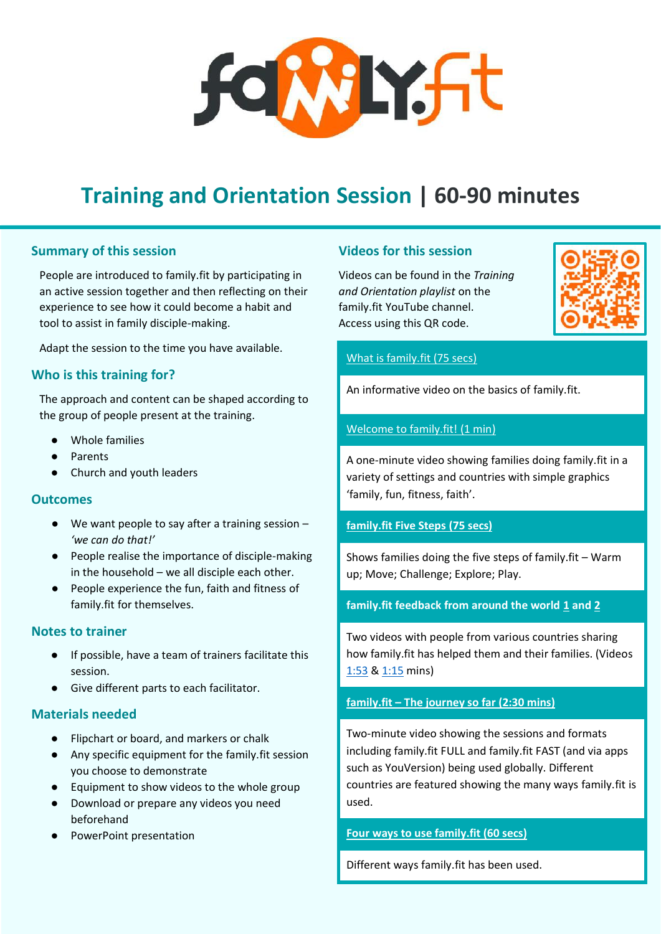# **SOWLYSFT**

# **Training and Orientation Session | 60-90 minutes**

# **Summary of this session**

People are introduced to family.fit by participating in an active session together and then reflecting on their experience to see how it could become a habit and tool to assist in family disciple-making.

Adapt the session to the time you have available.

# **Who is this training for?**

The approach and content can be shaped according to the group of people present at the training.

- Whole families
- Parents
- Church and youth leaders

# **Outcomes**

- $\bullet$  We want people to say after a training session  $-$ *'we can do that!'*
- People realise the importance of disciple-making in the household – we all disciple each other.
- People experience the fun, faith and fitness of family.fit for themselves.

# **Notes to trainer**

- If possible, have a team of trainers facilitate this session.
- Give different parts to each facilitator.

# **Materials needed**

- Flipchart or board, and markers or chalk
- Any specific equipment for the family.fit session you choose to demonstrate
- Equipment to show videos to the whole group
- Download or prepare any videos you need beforehand
- PowerPoint presentation

# **Videos for this session**

Videos can be found in the *Training and Orientation playlist* on the family.fit YouTube channel. Access using this QR code.



# [What is family.fit \(75 secs\)](https://www.youtube.com/watch?v=1t9LWUtJBsw&list=PLEDee7liJsnGyNWVV4Qhwp8iBL-e7cv-c&index=1)

An informative video on the basics of family.fit.

## [Welcome to family.fit! \(1 min\)](https://www.youtube.com/watch?v=WVYx74qstyc&list=PLEDee7liJsnGyNWVV4Qhwp8iBL-e7cv-c&index=2)

A one-minute video showing families doing family.fit in a variety of settings and countries with simple graphics 'family, fun, fitness, faith'.

# **[family.fit Five Steps \(75 secs\)](https://www.youtube.com/watch?v=LzWcI0-cFGs&list=PLEDee7liJsnGyNWVV4Qhwp8iBL-e7cv-c&index=3)**

Shows families doing the five steps of family.fit – Warm up; Move; Challenge; Explore; Play.

# **family.fit feedback from around the world [1](https://www.youtube.com/watch?v=dHTxPgm-Y9g&list=PLEDee7liJsnGyNWVV4Qhwp8iBL-e7cv-c&index=4) and [2](https://www.youtube.com/watch?v=EpAs4ZhG0FA&list=PLEDee7liJsnGyNWVV4Qhwp8iBL-e7cv-c&index=5)**

Two videos with people from various countries sharing how family.fit has helped them and their families. (Videos [1:53](https://www.youtube.com/watch?v=dHTxPgm-Y9g&list=PLEDee7liJsnGyNWVV4Qhwp8iBL-e7cv-c&index=4) & [1:15](https://www.youtube.com/watch?v=EpAs4ZhG0FA&list=PLEDee7liJsnGyNWVV4Qhwp8iBL-e7cv-c&index=5) mins)

# **family.fit – [The journey so far \(2:30 mins\)](https://www.youtube.com/watch?v=f96kRydXa1M&list=PLEDee7liJsnGyNWVV4Qhwp8iBL-e7cv-c&index=6)**

Two-minute video showing the sessions and formats including family.fit FULL and family.fit FAST (and via apps such as YouVersion) being used globally. Different countries are featured showing the many ways family.fit is used.

# **Four [ways to use family.fit \(60 secs\)](https://www.youtube.com/watch?v=9B_xUmt-Oro&list=PLEDee7liJsnGyNWVV4Qhwp8iBL-e7cv-c&index=7)**

Different ways family.fit has been used.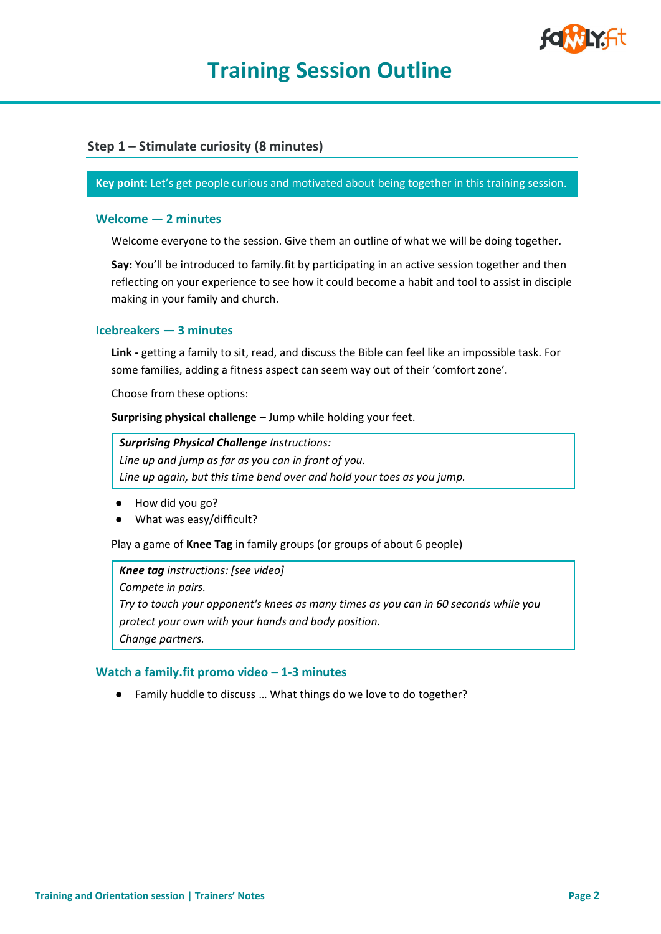

# **Training Session Outline**

# **Step 1 – Stimulate curiosity (8 minutes)**

#### **Key point:** Let's get people curious and motivated about being together in this training session.

#### **Welcome — 2 minutes**

Welcome everyone to the session. Give them an outline of what we will be doing together.

**Say:** You'll be introduced to family.fit by participating in an active session together and then reflecting on your experience to see how it could become a habit and tool to assist in disciple making in your family and church.

#### **Icebreakers — 3 minutes**

**Link -** getting a family to sit, read, and discuss the Bible can feel like an impossible task. For some families, adding a fitness aspect can seem way out of their 'comfort zone'.

Choose from these options:

**Surprising physical challenge** – Jump while holding your feet.

*Surprising Physical Challenge Instructions:* 

*Line up and jump as far as you can in front of you. Line up again, but this time bend over and hold your toes as you jump.* 

- How did you go?
- What was easy/difficult?

Play a game of **Knee Tag** in family groups (or groups of about 6 people)

#### *Knee tag instructions: [see video]*

*Compete in pairs.* 

*Try to touch your opponent's knees as many times as you can in 60 seconds while you protect your own with your hands and body position. Change partners.* 

#### **Watch a family.fit promo video – 1-3 minutes**

● Family huddle to discuss … What things do we love to do together?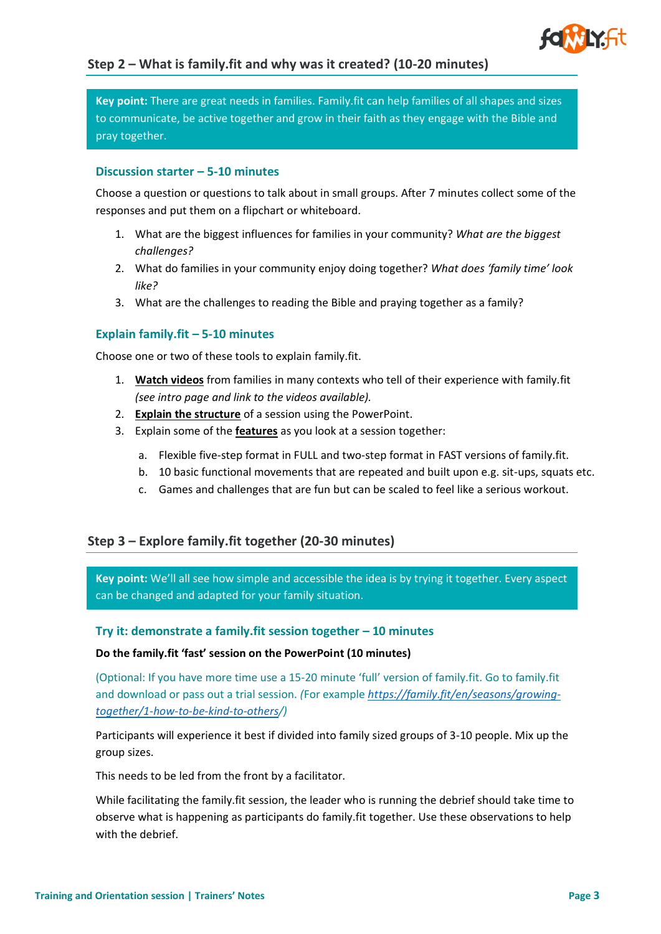

**Key point:** There are great needs in families. Family.fit can help families of all shapes and sizes to communicate, be active together and grow in their faith as they engage with the Bible and pray together.

#### **Discussion starter – 5-10 minutes**

Choose a question or questions to talk about in small groups. After 7 minutes collect some of the responses and put them on a flipchart or whiteboard.

- 1. What are the biggest influences for families in your community? *What are the biggest challenges?*
- 2. What do families in your community enjoy doing together? *What does 'family time' look like?*
- 3. What are the challenges to reading the Bible and praying together as a family?

# **Explain family.fit – 5-10 minutes**

Choose one or two of these tools to explain family.fit.

- 1. **Watch videos** from families in many contexts who tell of their experience with family.fit *(see intro page and link to the videos available).*
- 2. **Explain the structure** of a session using the PowerPoint.
- 3. Explain some of the **features** as you look at a session together:
	- a. Flexible five-step format in FULL and two-step format in FAST versions of family.fit.
	- b. 10 basic functional movements that are repeated and built upon e.g. sit-ups, squats etc.
	- c. Games and challenges that are fun but can be scaled to feel like a serious workout.

# **Step 3 – Explore family.fit together (20-30 minutes)**

**Key point:** We'll all see how simple and accessible the idea is by trying it together. Every aspect can be changed and adapted for your family situation.

#### **Try it: demonstrate a family.fit session together – 10 minutes**

#### **Do the family.fit 'fast' session on the PowerPoint (10 minutes)**

(Optional: If you have more time use a 15-20 minute 'full' version of family.fit. Go to family.fit and download or pass out a trial session. *(*For example *[https://family.fit/en/seasons/growing](https://family.fit/en/seasons/growing-together/1-how-to-be-kind-to-others)[together/1-how-to-be-kind-to-others/](https://family.fit/en/seasons/growing-together/1-how-to-be-kind-to-others))*

Participants will experience it best if divided into family sized groups of 3-10 people. Mix up the group sizes.

This needs to be led from the front by a facilitator.

While facilitating the family.fit session, the leader who is running the debrief should take time to observe what is happening as participants do family.fit together. Use these observations to help with the debrief.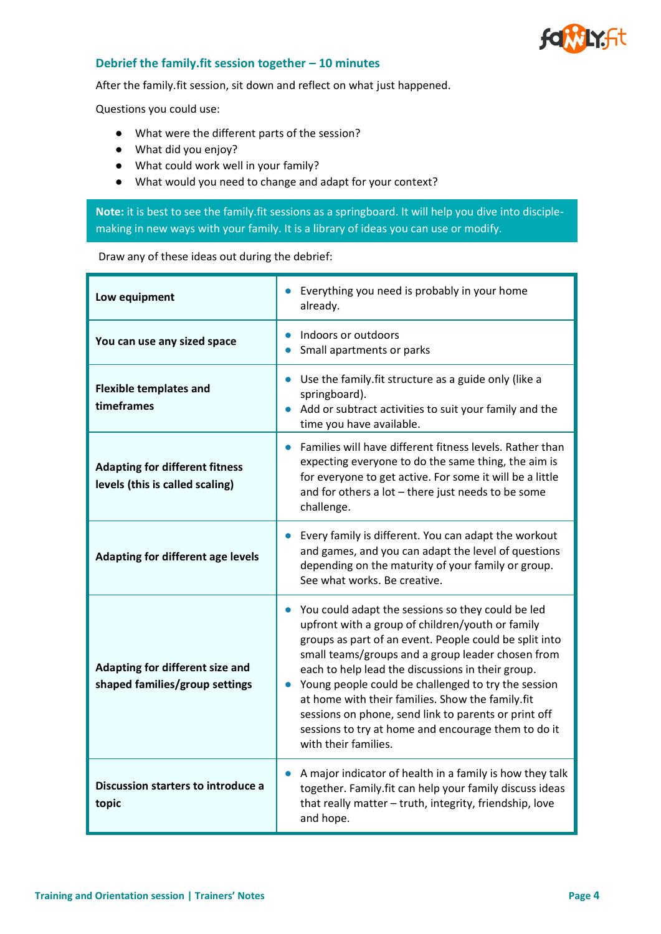

#### **Debrief the family.fit session together – 10 minutes**

After the family.fit session, sit down and reflect on what just happened.

Questions you could use:

- What were the different parts of the session?
- What did you enjoy?
- What could work well in your family?
- What would you need to change and adapt for your context?

**Note:** it is best to see the family.fit sessions as a springboard. It will help you dive into disciplemaking in new ways with your family. It is a library of ideas you can use or modify.

#### Draw any of these ideas out during the debrief:

| Low equipment                                                            | Everything you need is probably in your home<br>already.                                                                                                                                                                                                                                                                                                                                                                                                                                                                                   |
|--------------------------------------------------------------------------|--------------------------------------------------------------------------------------------------------------------------------------------------------------------------------------------------------------------------------------------------------------------------------------------------------------------------------------------------------------------------------------------------------------------------------------------------------------------------------------------------------------------------------------------|
| You can use any sized space                                              | Indoors or outdoors<br>Small apartments or parks                                                                                                                                                                                                                                                                                                                                                                                                                                                                                           |
| <b>Flexible templates and</b><br>timeframes                              | Use the family fit structure as a guide only (like a<br>$\bullet$<br>springboard).<br>Add or subtract activities to suit your family and the<br>time you have available.                                                                                                                                                                                                                                                                                                                                                                   |
| <b>Adapting for different fitness</b><br>levels (this is called scaling) | Families will have different fitness levels. Rather than<br>$\bullet$<br>expecting everyone to do the same thing, the aim is<br>for everyone to get active. For some it will be a little<br>and for others a lot - there just needs to be some<br>challenge.                                                                                                                                                                                                                                                                               |
| Adapting for different age levels                                        | Every family is different. You can adapt the workout<br>$\bullet$<br>and games, and you can adapt the level of questions<br>depending on the maturity of your family or group.<br>See what works. Be creative.                                                                                                                                                                                                                                                                                                                             |
| Adapting for different size and<br>shaped families/group settings        | • You could adapt the sessions so they could be led<br>upfront with a group of children/youth or family<br>groups as part of an event. People could be split into<br>small teams/groups and a group leader chosen from<br>each to help lead the discussions in their group.<br>Young people could be challenged to try the session<br>$\bullet$<br>at home with their families. Show the family.fit<br>sessions on phone, send link to parents or print off<br>sessions to try at home and encourage them to do it<br>with their families. |
| Discussion starters to introduce a<br>topic                              | A major indicator of health in a family is how they talk<br>$\bullet$<br>together. Family fit can help your family discuss ideas<br>that really matter - truth, integrity, friendship, love<br>and hope.                                                                                                                                                                                                                                                                                                                                   |